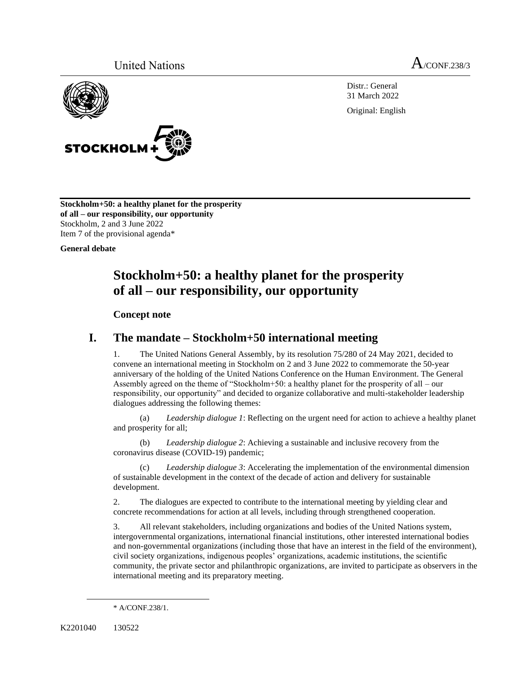



Distr.: General 31 March 2022

Original: English

**Stockholm+50: a healthy planet for the prosperity of all – our responsibility, our opportunity** Stockholm, 2 and 3 June 2022 Item 7 of the provisional agenda\*

**General debate**

# **Stockholm+50: a healthy planet for the prosperity of all – our responsibility, our opportunity**

#### **Concept note**

### **I. The mandate – Stockholm+50 international meeting**

1. The United Nations General Assembly, by its resolution 75/280 of 24 May 2021, decided to convene an international meeting in Stockholm on 2 and 3 June 2022 to commemorate the 50-year anniversary of the holding of the United Nations Conference on the Human Environment. The General Assembly agreed on the theme of "Stockholm+50: a healthy planet for the prosperity of all – our responsibility, our opportunity" and decided to organize collaborative and multi-stakeholder leadership dialogues addressing the following themes:

(a) *Leadership dialogue 1*: Reflecting on the urgent need for action to achieve a healthy planet and prosperity for all;

(b) *Leadership dialogue 2*: Achieving a sustainable and inclusive recovery from the coronavirus disease (COVID-19) pandemic;

(c) *Leadership dialogue 3*: Accelerating the implementation of the environmental dimension of sustainable development in the context of the decade of action and delivery for sustainable development.

2. The dialogues are expected to contribute to the international meeting by yielding clear and concrete recommendations for action at all levels, including through strengthened cooperation.

3. All relevant stakeholders, including organizations and bodies of the United Nations system, intergovernmental organizations, international financial institutions, other interested international bodies and non-governmental organizations (including those that have an interest in the field of the environment), civil society organizations, indigenous peoples' organizations, academic institutions, the scientific community, the private sector and philanthropic organizations, are invited to participate as observers in the international meeting and its preparatory meeting.

<sup>\*</sup> A/CONF.238/1.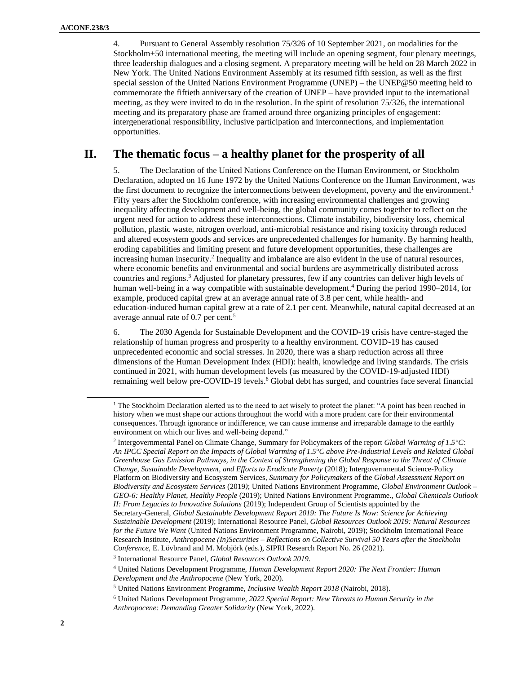4. Pursuant to General Assembly resolution 75/326 of 10 September 2021, on modalities for the Stockholm+50 international meeting, the meeting will include an opening segment, four plenary meetings, three leadership dialogues and a closing segment. A preparatory meeting will be held on 28 March 2022 in New York. The United Nations Environment Assembly at its resumed fifth session, as well as the first special session of the United Nations Environment Programme (UNEP) – the UNEP@50 meeting held to commemorate the fiftieth anniversary of the creation of UNEP – have provided input to the international meeting, as they were invited to do in the resolution. In the spirit of resolution 75/326, the international meeting and its preparatory phase are framed around three organizing principles of engagement: intergenerational responsibility, inclusive participation and interconnections, and implementation opportunities.

#### **II. The thematic focus – a healthy planet for the prosperity of all**

5. The Declaration of the United Nations Conference on the Human Environment, or Stockholm Declaration, adopted on 16 June 1972 by the United Nations Conference on the Human Environment, was the first document to recognize the interconnections between development, poverty and the environment. 1 Fifty years after the Stockholm conference, with increasing environmental challenges and growing inequality affecting development and well-being, the global community comes together to reflect on the urgent need for action to address these interconnections. Climate instability, biodiversity loss, chemical pollution, plastic waste, nitrogen overload, anti-microbial resistance and rising toxicity through reduced and altered ecosystem goods and services are unprecedented challenges for humanity. By harming health, eroding capabilities and limiting present and future development opportunities, these challenges are increasing human insecurity. 2 Inequality and imbalance are also evident in the use of natural resources, where economic benefits and environmental and social burdens are asymmetrically distributed across countries and regions. <sup>3</sup> Adjusted for planetary pressures, few if any countries can deliver high levels of human well-being in a way compatible with sustainable development. <sup>4</sup> During the period 1990–2014, for example, produced capital grew at an average annual rate of 3.8 per cent, while health- and education-induced human capital grew at a rate of 2.1 per cent. Meanwhile, natural capital decreased at an average annual rate of 0.7 per cent. 5

6. The 2030 Agenda for Sustainable Development and the COVID-19 crisis have centre-staged the relationship of human progress and prosperity to a healthy environment. COVID-19 has caused unprecedented economic and social stresses. In 2020, there was a sharp reduction across all three dimensions of the Human Development Index (HDI): health, knowledge and living standards. The crisis continued in 2021, with human development levels (as measured by the COVID-19-adjusted HDI) remaining well below pre-COVID-19 levels. <sup>6</sup> Global debt has surged, and countries face several financial

<sup>&</sup>lt;sup>1</sup> Th[e Stockholm Declaration](https://wedocs.unep.org/bitstream/handle/20.500.11822/29567/ELGP1StockD.pdf?sequence=1&isAllowed=y) alerted us to the need to act wisely to protect the planet: "A point has been reached in history when we must shape our actions throughout the world with a more prudent care for their environmental consequences. Through ignorance or indifference, we can cause immense and irreparable damage to the earthly environment on which our lives and well-being depend."

<sup>2</sup> Intergovernmental Panel on Climate Change[, Summary for Policymakers](https://www.ipcc.ch/sr15/chapter/spm/) of the report *Global Warming of 1.5°C: An IPCC Special Report on the Impacts of Global Warming of 1.5°C above Pre-Industrial Levels and Related Global Greenhouse Gas Emission Pathways, in the Context of Strengthening the Global Response to the Threat of Climate Change, Sustainable Development, and Efforts to Eradicate Poverty* (2018); Intergovernmental Science-Policy Platform on Biodiversity and Ecosystem Services, *Summary for Policymakers* of the *[Global Assessment Report on](https://zenodo.org/record/3553579#.YlQ1rcjMI2w)  [Biodiversity and Ecosystem Services](https://zenodo.org/record/3553579#.YlQ1rcjMI2w)* (2019*)*; United Nations Environment Programme, *[Global Environment Outlook –](https://www.unep.org/resources/global-environment-outlook-6) [GEO-6: Healthy Planet, Healthy People](https://www.unep.org/resources/global-environment-outlook-6)* (2019); United Nations Environment Programme., *[Global Chemicals Outlook](https://www.unep.org/resources/report/global-chemicals-outlook-ii-legacies-innovative-solutions)  [II: From Legacies to Innovative Solutions](https://www.unep.org/resources/report/global-chemicals-outlook-ii-legacies-innovative-solutions)* (2019); Independent Group of Scientists appointed by the Secretary-General, *[Global Sustainable Development Report 2019: The Future Is Now:](https://sustainabledevelopment.un.org/content/documents/24797GSDR_report_2019.pdf) Science for Achieving [Sustainable Development](https://sustainabledevelopment.un.org/content/documents/24797GSDR_report_2019.pdf)* (2019); International Resource Panel, *[Global Resources Outlook 2019: Natural Resources](https://www.resourcepanel.org/reports/global-resources-outlook)  [for the Future We Want](https://www.resourcepanel.org/reports/global-resources-outlook)* (United Nations Environment Programme, Nairobi, 2019); Stockholm International Peace Research Institute, *Anthropocene (In)Securities – [Reflections on Collective Survival 50 Years after the Stockholm](https://www.sipri.org/sites/default/files/2021-09/anthropocene_insecurities.pdf)  [Conference](https://www.sipri.org/sites/default/files/2021-09/anthropocene_insecurities.pdf)*, E. Lövbrand and M. Mobjörk (eds.), SIPRI Research Report No. 26 (2021).

<sup>3</sup> International Resource Panel, *Global Resources Outlook 2019*.

<sup>4</sup> United Nations Development Programme, *[Human Development Report 2020: The Next Frontier: Human](http://hdr.undp.org/en/2020-report)  [Development and the Anthropocene](http://hdr.undp.org/en/2020-report)* (New York, 2020).

<sup>5</sup> United Nations Environment Programme, *[Inclusive Wealth Report 2018](https://www.unep.org/resources/inclusive-wealth-report-2018)* (Nairobi, 2018).

<sup>6</sup> United Nations Development Programme, *2022 Special Report[: New Threats to Human Security in the](https://hdr.undp.org/sites/default/files/srhs2022.pdf)  [Anthropocene: Demanding Greater Solidarity](https://hdr.undp.org/sites/default/files/srhs2022.pdf)* (New York, 2022).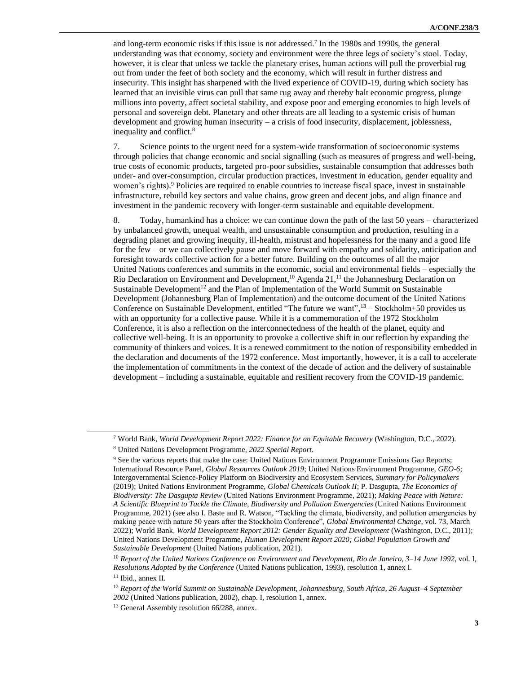and long-term economic risks if this issue is not addressed. 7 In the 1980s and 1990s, the general understanding was that economy, society and environment were the three legs of society's stool. Today, however, it is clear that unless we tackle the planetary crises, human actions will pull the proverbial rug out from under the feet of both society and the economy, which will result in further distress and insecurity. This insight has sharpened with the lived experience of COVID-19, during which society has learned that an invisible virus can pull that same rug away and thereby halt economic progress, plunge millions into poverty, affect societal stability, and expose poor and emerging economies to high levels of personal and sovereign debt. Planetary and other threats are all leading to a systemic crisis of human development and growing human insecurity – a crisis of food insecurity, displacement, joblessness, inequality and conflict. 8

7. Science points to the urgent need for a system-wide transformation of socioeconomic systems through policies that change economic and social signalling (such as measures of progress and well-being, true costs of economic products, targeted pro-poor subsidies, sustainable consumption that addresses both under- and over-consumption, circular production practices, investment in education, gender equality and women's rights). <sup>9</sup> Policies are required to enable countries to increase fiscal space, invest in sustainable infrastructure, rebuild key sectors and value chains, grow green and decent jobs, and align finance and investment in the pandemic recovery with longer-term sustainable and equitable development.

8. Today, humankind has a choice: we can continue down the path of the last 50 years – characterized by unbalanced growth, unequal wealth, and unsustainable consumption and production, resulting in a degrading planet and growing inequity, ill-health, mistrust and hopelessness for the many and a good life for the few – or we can collectively pause and move forward with empathy and solidarity, anticipation and foresight towards collective action for a better future. Building on the outcomes of all the major United Nations conferences and summits in the economic, social and environmental fields – especially the Rio Declaration on Environment and Development,<sup>10</sup> Agenda 21,<sup>11</sup> the Johannesburg Declaration on Sustainable Development<sup>12</sup> and the Plan of Implementation of the World Summit on Sustainable Development (Johannesburg Plan of Implementation) and the outcome document of the United Nations Conference on Sustainable Development, entitled "The future we want",<sup>13</sup> - Stockholm+50 provides us with an opportunity for a collective pause. While it is a commemoration of the 1972 Stockholm Conference, it is also a reflection on the interconnectedness of the health of the planet, equity and collective well-being. It is an opportunity to provoke a collective shift in our reflection by expanding the community of thinkers and voices. It is a renewed commitment to the notion of responsibility embedded in the declaration and documents of the 1972 conference. Most importantly, however, it is a call to accelerate the implementation of commitments in the context of the decade of action and the delivery of sustainable development – including a sustainable, equitable and resilient recovery from the COVID-19 pandemic.

<sup>7</sup> World Bank, *[World Development Report 2022: Finance for an Equitable Recovery](https://openknowledge.worldbank.org/handle/10986/36883?show=full)* (Washington, D.C., 2022).

<sup>8</sup> United Nations Development Programme, *2022 Special Report*.

<sup>9</sup> See the various reports that make the case: United Nations Environment Programme [Emissions Gap Reports;](https://unepdtu.org/project/un-environment-emissions-gap-report/) International Resource Panel, *[Global Resources Outlook 2019](https://www.resourcepanel.org/reports/global-resources-outlook)*; United Nations Environment Programme, *GEO-6*; Intergovernmental Science-Policy Platform on Biodiversity and Ecosystem Services, *Summary for Policymakers* (2019); United Nations Environment Programme, *[Global Chemicals Outlook II](https://www.unep.org/resources/report/global-chemicals-outlook-ii-legacies-innovative-solutions)*; P. Dasgupta, *[The Economics of](https://www.gov.uk/government/publications/final-report-the-economics-of-biodiversity-the-dasgupta-review)  [Biodiversity: The Dasgupta Review](https://www.gov.uk/government/publications/final-report-the-economics-of-biodiversity-the-dasgupta-review)* (United Nations Environment Programme, 2021); *[Making Peace with Nature:](https://www.unep.org/resources/making-peace-nature)  A [Scientific Blueprint to Tackle the Climate, Biodiversity and Pollution Emergencies](https://www.unep.org/resources/making-peace-nature)* (United Nations Environment Programme, 2021) (see also I. Baste and R. Watson, "Tackling the climate, biodiversity, and pollution emergencies by making peace with nature 50 years after the Stockholm Conference", *Global Environmental Change*, vol. 73, March 2022); World Bank, *[World Development Report 2012: Gender Equality and Development](https://openknowledge.worldbank.org/handle/10986/4391)* (Washington, D.C., 2011); United Nations Development Programme, *[Human Development Report 2020;](http://hdr.undp.org/en/2020-report) Global Population Growth and Sustainable Development* (United Nations publication, 2021).

<sup>10</sup> *Report of the United Nations Conference on Environment and Development, Rio de Janeiro, 3–14 June 1992*, vol. I, *Resolutions Adopted by the Conference* (United Nations publication, 1993), resolution 1, annex I. <sup>11</sup> Ibid., annex II.

<sup>12</sup> *Report of the World Summit on Sustainable Development, Johannesburg, South Africa, 26 August–4 September 2002* (United Nations publication, 2002), chap. I, resolution 1, annex.

<sup>13</sup> General Assembly resolution 66/288, annex.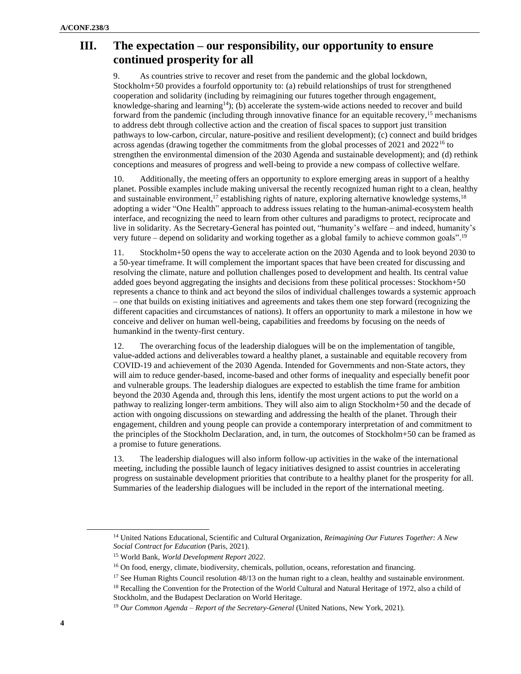## **III. The expectation – our responsibility, our opportunity to ensure continued prosperity for all**

9. As countries strive to recover and reset from the pandemic and the global lockdown, Stockholm+50 provides a fourfold opportunity to: (a) rebuild relationships of trust for strengthened cooperation and solidarity (including by reimagining our futures together through engagement, knowledge-sharing and learning<sup>14</sup>); (b) accelerate the system-wide actions needed to recover and build forward from the pandemic (including through innovative finance for an equitable recovery, <sup>15</sup> mechanisms to address debt through collective action and the creation of fiscal spaces to support just transition pathways to low-carbon, circular, nature-positive and resilient development); (c) connect and build bridges across agendas (drawing together the commitments from the global processes of 2021 and 2022<sup>16</sup> to strengthen the environmental dimension of the 2030 Agenda and sustainable development); and (d) rethink conceptions and measures of progress and well-being to provide a new compass of collective welfare.

10. Additionally, the meeting offers an opportunity to explore emerging areas in support of a healthy planet. Possible examples include making universal the recently recognized human right to a clean, healthy and sustainable environment,<sup>17</sup> establishing rights of nature, exploring alternative knowledge systems,<sup>18</sup> adopting a wider "One Health" approach to address issues relating to the human-animal-ecosystem health interface, and recognizing the need to learn from other cultures and paradigms to protect, reciprocate and live in solidarity. As the Secretary-General has pointed out, "humanity's welfare – and indeed, humanity's very future – depend on solidarity and working together as a global family to achieve common goals".<sup>19</sup>

11. Stockholm+50 opens the way to accelerate action on the 2030 Agenda and to look beyond 2030 to a 50-year timeframe. It will complement the important spaces that have been created for discussing and resolving the climate, nature and pollution challenges posed to development and health. Its central value added goes beyond aggregating the insights and decisions from these political processes: Stockhom+50 represents a chance to think and act beyond the silos of individual challenges towards a systemic approach – one that builds on existing initiatives and agreements and takes them one step forward (recognizing the different capacities and circumstances of nations). It offers an opportunity to mark a milestone in how we conceive and deliver on human well-being, capabilities and freedoms by focusing on the needs of humankind in the twenty-first century.

12. The overarching focus of the leadership dialogues will be on the implementation of tangible, value-added actions and deliverables toward a healthy planet, a sustainable and equitable recovery from COVID-19 and achievement of the 2030 Agenda. Intended for Governments and non-State actors, they will aim to reduce gender-based, income-based and other forms of inequality and especially benefit poor and vulnerable groups. The leadership dialogues are expected to establish the time frame for ambition beyond the 2030 Agenda and, through this lens, identify the most urgent actions to put the world on a pathway to realizing longer-term ambitions. They will also aim to align Stockholm+50 and the decade of action with ongoing discussions on stewarding and addressing the health of the planet. Through their engagement, children and young people can provide a contemporary interpretation of and commitment to the principles of the Stockholm Declaration, and, in turn, the outcomes of Stockholm+50 can be framed as a promise to future generations.

13. The leadership dialogues will also inform follow-up activities in the wake of the international meeting, including the possible launch of legacy initiatives designed to assist countries in accelerating progress on sustainable development priorities that contribute to a healthy planet for the prosperity for all. Summaries of the leadership dialogues will be included in the report of the international meeting.

<sup>17</sup> See Human Rights Council resolution 48/13 on the human right to a clean, healthy and sustainable environment.

<sup>14</sup> United Nations Educational, Scientific and Cultural Organization, *[Reimagining Our Futures Together: A](https://unesdoc.unesco.org/ark:/48223/pf0000379707) New [Social Contract for Education](https://unesdoc.unesco.org/ark:/48223/pf0000379707)* (Paris, 2021).

<sup>15</sup> World Bank, *[World Development Report 2022](https://openknowledge.worldbank.org/handle/10986/36883?show=full)*.

<sup>&</sup>lt;sup>16</sup> On food, energy, climate, biodiversity, chemicals, pollution, oceans, reforestation and financing.

<sup>&</sup>lt;sup>18</sup> Recalling the Convention for the Protection of the World Cultural and Natural Heritage of 1972, also a child of Stockholm, and the [Budapest Declaration on World Heritage.](file:///C:/Users/JMBAU/AppData/Local/Microsoft/Windows/INetCache/Content.Outlook/TGGZE45E/%20Budapest%20Declaration%20on%20World%20Heritage)

<sup>19</sup> *Our Common Agenda – [Report of the Secretary-General](https://www.un.org/en/un75/common-agenda)* (United Nations, New York, 2021).